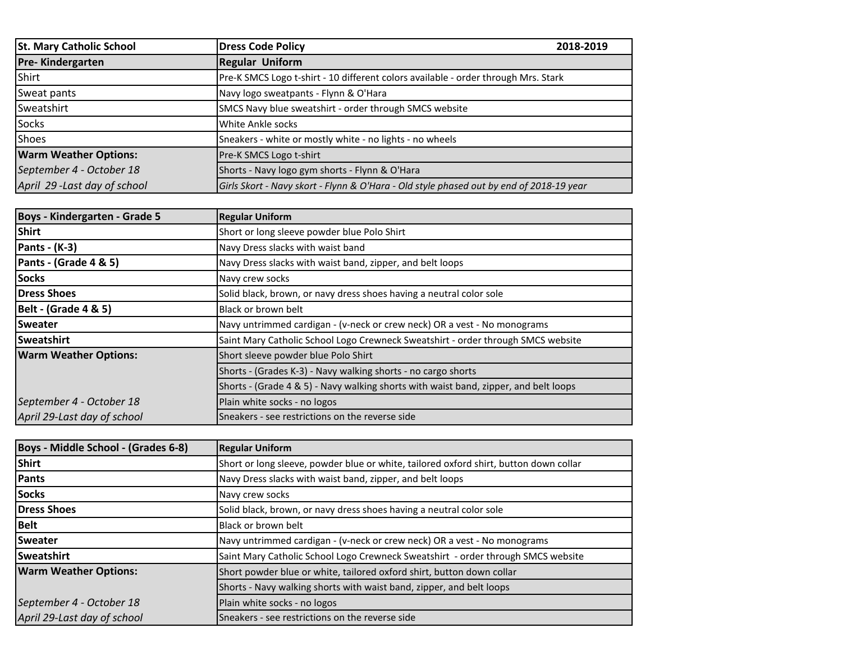| <b>St. Mary Catholic School</b> | <b>Dress Code Policy</b>                                                                | 2018-2019 |
|---------------------------------|-----------------------------------------------------------------------------------------|-----------|
| <b>Pre-Kindergarten</b>         | <b>Regular Uniform</b>                                                                  |           |
| Shirt                           | Pre-K SMCS Logo t-shirt - 10 different colors available - order through Mrs. Stark      |           |
| Sweat pants                     | Navy logo sweatpants - Flynn & O'Hara                                                   |           |
| Sweatshirt                      | SMCS Navy blue sweatshirt - order through SMCS website                                  |           |
| Socks                           | White Ankle socks                                                                       |           |
| Shoes                           | Sneakers - white or mostly white - no lights - no wheels                                |           |
| <b>Warm Weather Options:</b>    | <b>Pre-K SMCS Logo t-shirt</b>                                                          |           |
| September 4 - October 18        | Shorts - Navy logo gym shorts - Flynn & O'Hara                                          |           |
| April 29-Last day of school     | Girls Skort - Navy skort - Flynn & O'Hara - Old style phased out by end of 2018-19 year |           |

| Boys - Kindergarten - Grade 5   | <b>Regular Uniform</b>                                                               |  |
|---------------------------------|--------------------------------------------------------------------------------------|--|
| <b>Shirt</b>                    | Short or long sleeve powder blue Polo Shirt                                          |  |
| Pants - $(K-3)$                 | Navy Dress slacks with waist band                                                    |  |
| Pants - (Grade 4 & 5)           | Navy Dress slacks with waist band, zipper, and belt loops                            |  |
| <b>Socks</b>                    | Navy crew socks                                                                      |  |
| Dress Shoes                     | Solid black, brown, or navy dress shoes having a neutral color sole                  |  |
| <b>Belt - (Grade 4 &amp; 5)</b> | Black or brown belt                                                                  |  |
| <b>Sweater</b>                  | Navy untrimmed cardigan - (v-neck or crew neck) OR a vest - No monograms             |  |
| Sweatshirt                      | Saint Mary Catholic School Logo Crewneck Sweatshirt - order through SMCS website     |  |
| <b>Warm Weather Options:</b>    | Short sleeve powder blue Polo Shirt                                                  |  |
|                                 | Shorts - (Grades K-3) - Navy walking shorts - no cargo shorts                        |  |
|                                 | Shorts - (Grade 4 & 5) - Navy walking shorts with waist band, zipper, and belt loops |  |
| September 4 - October 18        | Plain white socks - no logos                                                         |  |
| April 29-Last day of school     | Sneakers - see restrictions on the reverse side                                      |  |

| Boys - Middle School - (Grades 6-8) | <b>Regular Uniform</b>                                                                |  |
|-------------------------------------|---------------------------------------------------------------------------------------|--|
| Shirt                               | Short or long sleeve, powder blue or white, tailored oxford shirt, button down collar |  |
| Pants                               | Navy Dress slacks with waist band, zipper, and belt loops                             |  |
| <b>Socks</b>                        | Navy crew socks                                                                       |  |
| <b>Dress Shoes</b>                  | Solid black, brown, or navy dress shoes having a neutral color sole                   |  |
| <b>Belt</b>                         | Black or brown belt                                                                   |  |
| <b>Sweater</b>                      | Navy untrimmed cardigan - (v-neck or crew neck) OR a vest - No monograms              |  |
| Sweatshirt                          | Saint Mary Catholic School Logo Crewneck Sweatshirt - order through SMCS website      |  |
| <b>Warm Weather Options:</b>        | Short powder blue or white, tailored oxford shirt, button down collar                 |  |
|                                     | Shorts - Navy walking shorts with waist band, zipper, and belt loops                  |  |
| September 4 - October 18            | Plain white socks - no logos                                                          |  |
| April 29-Last day of school         | Sneakers - see restrictions on the reverse side                                       |  |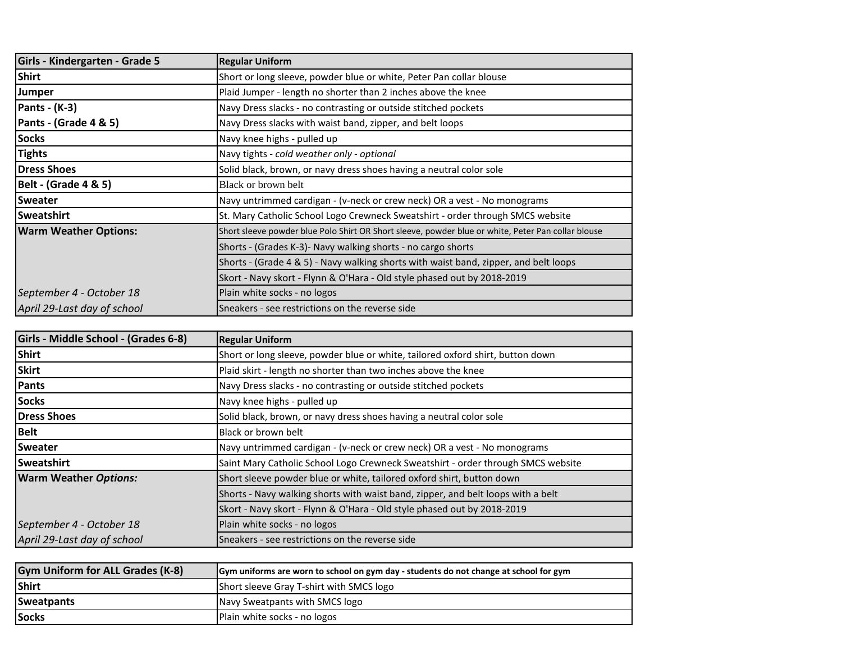| Girls - Kindergarten - Grade 5  | <b>Regular Uniform</b>                                                                             |  |
|---------------------------------|----------------------------------------------------------------------------------------------------|--|
| <b>Shirt</b>                    | Short or long sleeve, powder blue or white, Peter Pan collar blouse                                |  |
| Jumper                          | Plaid Jumper - length no shorter than 2 inches above the knee                                      |  |
| Pants - $(K-3)$                 | Navy Dress slacks - no contrasting or outside stitched pockets                                     |  |
| Pants - (Grade 4 & 5)           | Navy Dress slacks with waist band, zipper, and belt loops                                          |  |
| <b>Socks</b>                    | Navy knee highs - pulled up                                                                        |  |
| <b>Tights</b>                   | Navy tights - cold weather only - optional                                                         |  |
| <b>Dress Shoes</b>              | Solid black, brown, or navy dress shoes having a neutral color sole                                |  |
| <b>Belt - (Grade 4 &amp; 5)</b> | Black or brown belt                                                                                |  |
| <b>Sweater</b>                  | Navy untrimmed cardigan - (v-neck or crew neck) OR a vest - No monograms                           |  |
| <b>Sweatshirt</b>               | St. Mary Catholic School Logo Crewneck Sweatshirt - order through SMCS website                     |  |
| <b>Warm Weather Options:</b>    | Short sleeve powder blue Polo Shirt OR Short sleeve, powder blue or white, Peter Pan collar blouse |  |
|                                 | Shorts - (Grades K-3)- Navy walking shorts - no cargo shorts                                       |  |
|                                 | Shorts - (Grade 4 & 5) - Navy walking shorts with waist band, zipper, and belt loops               |  |
|                                 | Skort - Navy skort - Flynn & O'Hara - Old style phased out by 2018-2019                            |  |
| September 4 - October 18        | Plain white socks - no logos                                                                       |  |
| April 29-Last day of school     | Sneakers - see restrictions on the reverse side                                                    |  |

| Girls - Middle School - (Grades 6-8) | <b>Regular Uniform</b>                                                           |  |
|--------------------------------------|----------------------------------------------------------------------------------|--|
| <b>Shirt</b>                         | Short or long sleeve, powder blue or white, tailored oxford shirt, button down   |  |
| <b>Skirt</b>                         | Plaid skirt - length no shorter than two inches above the knee                   |  |
| Pants                                | Navy Dress slacks - no contrasting or outside stitched pockets                   |  |
| <b>Socks</b>                         | Navy knee highs - pulled up                                                      |  |
| Dress Shoes                          | Solid black, brown, or navy dress shoes having a neutral color sole              |  |
| <b>Belt</b>                          | Black or brown belt                                                              |  |
| <b>Sweater</b>                       | Navy untrimmed cardigan - (v-neck or crew neck) OR a vest - No monograms         |  |
| Sweatshirt                           | Saint Mary Catholic School Logo Crewneck Sweatshirt - order through SMCS website |  |
| <b>Warm Weather Options:</b>         | Short sleeve powder blue or white, tailored oxford shirt, button down            |  |
|                                      | Shorts - Navy walking shorts with waist band, zipper, and belt loops with a belt |  |
|                                      | Skort - Navy skort - Flynn & O'Hara - Old style phased out by 2018-2019          |  |
| September 4 - October 18             | Plain white socks - no logos                                                     |  |
| April 29-Last day of school          | Sneakers - see restrictions on the reverse side                                  |  |

| <b>Gym Uniform for ALL Grades (K-8)</b> | Gym uniforms are worn to school on gym day - students do not change at school for gym |
|-----------------------------------------|---------------------------------------------------------------------------------------|
| Shirt                                   | Short sleeve Gray T-shirt with SMCS logo                                              |
| Sweatpants                              | Navy Sweatpants with SMCS logo                                                        |
| Socks                                   | Plain white socks - no logos                                                          |